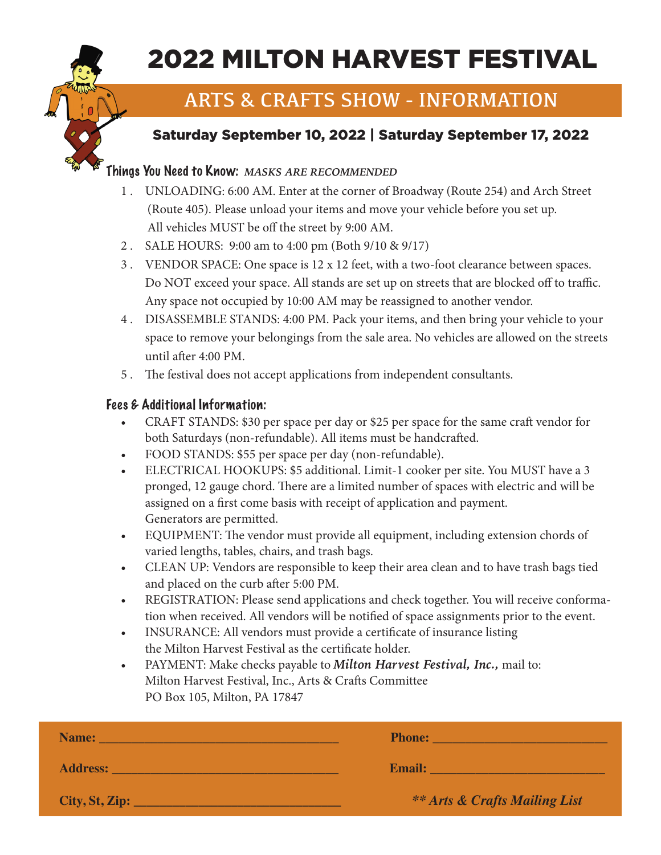

# 2022 MILTON HARVEST FESTIVAL

## ARTS & CRAFTS SHOW - INFORMATION

## Saturday September 10, 2022 | Saturday September 17, 2022

#### Things You Need to Know: *MASKS ARE RECOMMENDED*

- 1 . UNLOADING: 6:00 AM. Enter at the corner of Broadway (Route 254) and Arch Street (Route 405). Please unload your items and move your vehicle before you set up. All vehicles MUST be off the street by 9:00 AM.
- 2 . SALE HOURS: 9:00 am to 4:00 pm (Both 9/10 & 9/17)
- 3 . VENDOR SPACE: One space is 12 x 12 feet, with a two-foot clearance between spaces. Do NOT exceed your space. All stands are set up on streets that are blocked off to traffic. Any space not occupied by 10:00 AM may be reassigned to another vendor.
- 4 . DISASSEMBLE STANDS: 4:00 PM. Pack your items, and then bring your vehicle to your space to remove your belongings from the sale area. No vehicles are allowed on the streets until after 4:00 PM.
- 5 . The festival does not accept applications from independent consultants.

#### Fees & Additional Information:

- CRAFT STANDS: \$30 per space per day or \$25 per space for the same craft vendor for both Saturdays (non-refundable). All items must be handcrafted.
- FOOD STANDS: \$55 per space per day (non-refundable).
- ELECTRICAL HOOKUPS: \$5 additional. Limit-1 cooker per site. You MUST have a 3 pronged, 12 gauge chord. There are a limited number of spaces with electric and will be assigned on a first come basis with receipt of application and payment. Generators are permitted.
- EQUIPMENT: The vendor must provide all equipment, including extension chords of varied lengths, tables, chairs, and trash bags.
- CLEAN UP: Vendors are responsible to keep their area clean and to have trash bags tied and placed on the curb after 5:00 PM.
- REGISTRATION: Please send applications and check together. You will receive conformation when received. All vendors will be notified of space assignments prior to the event.
- INSURANCE: All vendors must provide a certificate of insurance listing the Milton Harvest Festival as the certificate holder.
- PAYMENT: Make checks payable to *Milton Harvest Festival, Inc.,* mail to: Milton Harvest Festival, Inc., Arts & Crafts Committee PO Box 105, Milton, PA 17847

| Name:           | <b>Phone:</b>                            |  |  |
|-----------------|------------------------------------------|--|--|
| <b>Address:</b> | <b>Email:</b>                            |  |  |
| City, St, Zip:  | <b>** Arts &amp; Crafts Mailing List</b> |  |  |